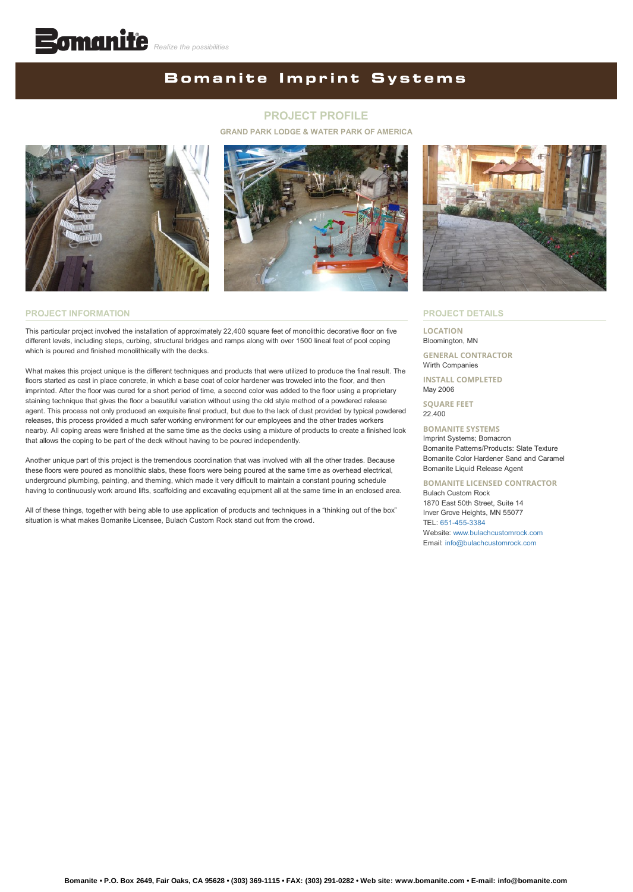## **Bomanite Imprint Systems**

## **PROJECT PROFILE**

**GRAND PARK LODGE & WATER PARK OF AMERICA**





#### **PROJECT INFORMATION**

This particular project involved the installation of approximately 22,400 square feet of monolithic decorative floor on five different levels, including steps, curbing, structural bridges and ramps along with over 1500 lineal feet of pool coping which is poured and finished monolithically with the decks.

What makes this project unique is the different techniques and products that were utilized to produce the final result. The floors started as cast in place concrete, in which a base coat of color hardener was troweled into the floor, and then imprinted. After the floor was cured for a short period of time, a second color was added to the floor using a proprietary staining technique that gives the floor a beautiful variation without using the old style method of a powdered release agent. This process not only produced an exquisite final product, but due to the lack of dust provided by typical powdered releases, this process provided a much safer working environment for our employees and the other trades workers nearby. All coping areas were finished at the same time as the decks using a mixture of products to create a finished look that allows the coping to be part of the deck without having to be poured independently.

Another unique part of this project is the tremendous coordination that was involved with all the other trades. Because these floors were poured as monolithic slabs, these floors were being poured at the same time as overhead electrical, underground plumbing, painting, and theming, which made it very difficult to maintain a constant pouring schedule having to continuously work around lifts, scaffolding and excavating equipment all at the same time in an enclosed area.

All of these things, together with being able to use application of products and techniques in a "thinking out of the box" situation is what makes Bomanite Licensee, Bulach Custom Rock stand out from the crowd.



#### **PROJECT DETAILS**

#### **LOCATION** Bloomington, MN

**GENERAL CONTRACTOR** Wirth Companies

**INSTALL COMPLETED** May 2006

**SQUARE FEET** 22.400

### **BOMANITE SYSTEMS**

Imprint Systems; Bomacron Bomanite Patterns/Products: Slate Texture Bomanite Color Hardener Sand and Caramel Bomanite Liquid Release Agent

**BOMANITE LICENSED CONTRACTOR** Bulach Custom Rock 1870 East 50th Street, Suite 14 Inver Grove Heights, MN 55077

TEL: [651-455-3384](tel:1-651-455-3384) Website: [www.bulachcustomrock.com](http://www.bulachcustomrock.com/)

Email: [info@bulachcustomrock.com](mailto:info@bulachcustomrock.com?cc=info@bomanite.com&subject=I%20Need%20More%20Info%20About%20Project%20Profile:%20Grand%20Park%20Lodge%20Hotel%20and%20Water%20Park%20of%20America)